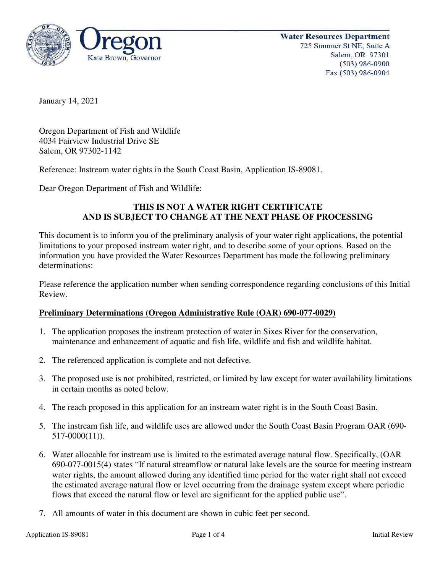

January 14, 2021

Oregon Department of Fish and Wildlife 4034 Fairview Industrial Drive SE Salem, OR 97302-1142

Reference: Instream water rights in the South Coast Basin, Application IS-89081.

Dear Oregon Department of Fish and Wildlife:

# **THIS IS NOT A WATER RIGHT CERTIFICATE AND IS SUBJECT TO CHANGE AT THE NEXT PHASE OF PROCESSING**

This document is to inform you of the preliminary analysis of your water right applications, the potential limitations to your proposed instream water right, and to describe some of your options. Based on the information you have provided the Water Resources Department has made the following preliminary determinations:

Please reference the application number when sending correspondence regarding conclusions of this Initial Review.

## **Preliminary Determinations (Oregon Administrative Rule (OAR) 690-077-0029)**

- 1. The application proposes the instream protection of water in Sixes River for the conservation, maintenance and enhancement of aquatic and fish life, wildlife and fish and wildlife habitat.
- 2. The referenced application is complete and not defective.
- 3. The proposed use is not prohibited, restricted, or limited by law except for water availability limitations in certain months as noted below.
- 4. The reach proposed in this application for an instream water right is in the South Coast Basin.
- 5. The instream fish life, and wildlife uses are allowed under the South Coast Basin Program OAR (690- 517-0000(11)).
- 6. Water allocable for instream use is limited to the estimated average natural flow. Specifically, (OAR 690-077-0015(4) states "If natural streamflow or natural lake levels are the source for meeting instream water rights, the amount allowed during any identified time period for the water right shall not exceed the estimated average natural flow or level occurring from the drainage system except where periodic flows that exceed the natural flow or level are significant for the applied public use".
- 7. All amounts of water in this document are shown in cubic feet per second.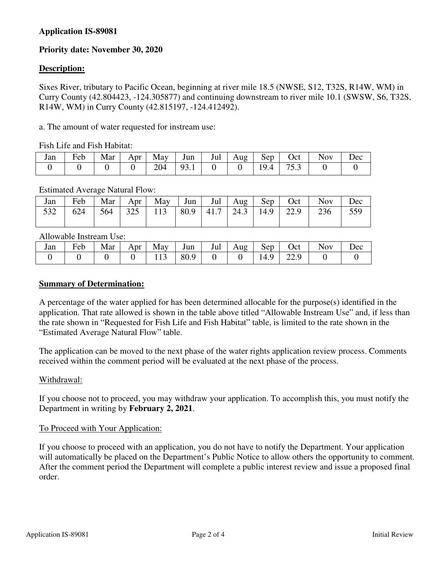# **Application IS-89081**

# **Priority date: November 30, 2020**

### **Description:**

Sixes River, tributary to Pacific Ocean, beginning at river mile 18.5 (NWSE, S12, T32S, R14W, WM) in Curry County (42.804423, -124.305877) and continuing downstream to river mile 10.1 (SWSW, S6, T32S, R14W, WM) in Curry County (42.815197, -124.412492).

a. The amount of water requested for instream use:

Fish Life and Fish Habitat:

| Jan | $\overline{\phantom{0}}$<br>Feb | Mar | Apr | May | Jun                            | Jul | Aug | Sep | Oct  | N <sub>ov</sub> | Dec |
|-----|---------------------------------|-----|-----|-----|--------------------------------|-----|-----|-----|------|-----------------|-----|
|     |                                 |     |     | 204 | 0 <sup>2</sup><br>, , <u>,</u> |     |     |     | ن. ب |                 |     |

#### Estimated Average Natural Flow:

| Jan | Feb |     | Mar Apr |                                              |  |  | May $\vert$ Jun $\vert$ Jul $\vert$ Aug $\vert$ Sep $\vert$ Oct $\vert$ | <b>Nov</b> | Dec |
|-----|-----|-----|---------|----------------------------------------------|--|--|-------------------------------------------------------------------------|------------|-----|
| 532 | 624 | 564 |         | 325   113   80.9   41.7   24.3   14.9   22.9 |  |  |                                                                         | 236        | 559 |

Allowable Instream Use:

| Jan | $\mathbf{r}$ 1<br>Feb | Mar | Apr | May | Jun  | Jul | Aug | Sep.     | Oct       | <b>Nov</b> | Dec |
|-----|-----------------------|-----|-----|-----|------|-----|-----|----------|-----------|------------|-----|
|     |                       |     |     | 113 | 80.9 |     |     | $\Omega$ | 220<br>∠⊷ |            |     |

#### **Summary of Determination:**

A percentage of the water applied for has been determined allocable for the purpose(s) identified in the application. That rate allowed is shown in the table above titled "Allowable Instream Use" and, if less than the rate shown in "Requested for Fish Life and Fish Habitat" table, is limited to the rate shown in the "Estimated Average Natural Flow" table.

The application can be moved to the next phase of the water rights application review process. Comments received within the comment period will be evaluated at the next phase of the process.

#### Withdrawal:

If you choose not to proceed, you may withdraw your application. To accomplish this, you must notify the Department in writing by **February 2, 2021**.

#### To Proceed with Your Application:

If you choose to proceed with an application, you do not have to notify the Department. Your application will automatically be placed on the Department's Public Notice to allow others the opportunity to comment. After the comment period the Department will complete a public interest review and issue a proposed final order.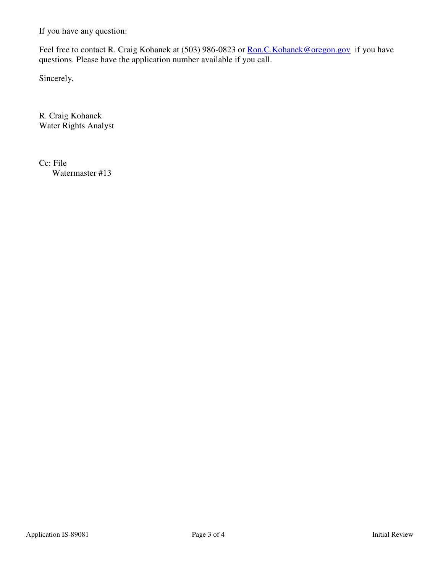If you have any question:

Feel free to contact R. Craig Kohanek at (503) 986-0823 or Ron.C. Kohanek@oregon.gov if you have questions. Please have the application number available if you call.

Sincerely,

R. Craig Kohanek Water Rights Analyst

Cc: File Watermaster #13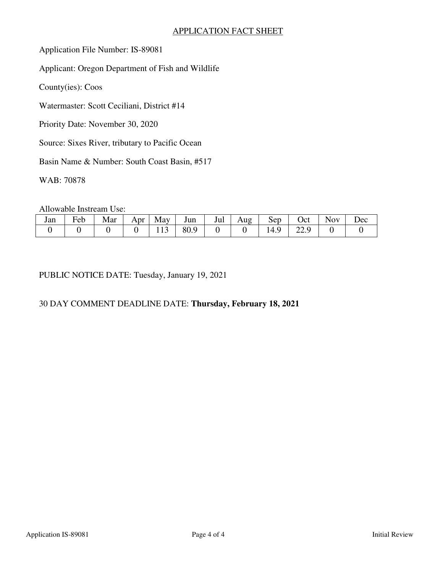## APPLICATION FACT SHEET

Application File Number: IS-89081

Applicant: Oregon Department of Fish and Wildlife

County(ies): Coos

Watermaster: Scott Ceciliani, District #14

Priority Date: November 30, 2020

Source: Sixes River, tributary to Pacific Ocean

Basin Name & Number: South Coast Basin, #517

WAB: 70878

Allowable Instream Use:

| Jan | Ē<br>reb | Mar | Apr | May             | Jun            | Jul | Aug | Sep  | Oct  | lov | $\iota$ ec |
|-----|----------|-----|-----|-----------------|----------------|-----|-----|------|------|-----|------------|
|     |          |     |     | $\sim$<br>1 1 J | 80.9<br>$\sim$ |     |     | `4.> | 44.J |     |            |

PUBLIC NOTICE DATE: Tuesday, January 19, 2021

# 30 DAY COMMENT DEADLINE DATE: **Thursday, February 18, 2021**